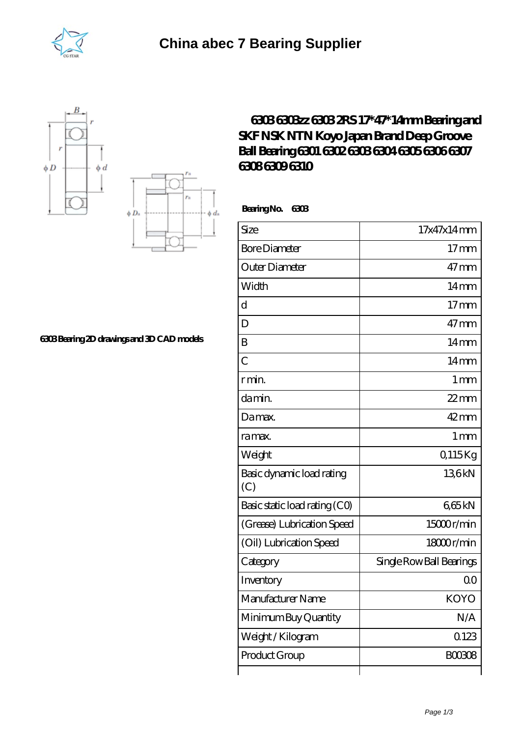





## **[6303 Bearing 2D drawings and 3D CAD models](https://vikingman.org/pic-65284173.html)**

## **[6303 6303zz 6303 2RS 17\\*47\\*14mm Bearing and](https://vikingman.org/koyo-6304-bearing/koyo-6303.html) [SKF NSK NTN Koyo Japan Brand Deep Groove](https://vikingman.org/koyo-6304-bearing/koyo-6303.html) [Ball Bearing 6301 6302 6303 6304 6305 6306 6307](https://vikingman.org/koyo-6304-bearing/koyo-6303.html) [6308 6309 6310](https://vikingman.org/koyo-6304-bearing/koyo-6303.html)**

 **Bearing No. 6303**

| Size                             | 17x47x14mm               |
|----------------------------------|--------------------------|
| <b>Bore Diameter</b>             | 17 <sub>mm</sub>         |
| Outer Diameter                   | $47$ mm                  |
| Width                            | 14 <sub>mm</sub>         |
| $\mathbf d$                      | 17 <sub>mm</sub>         |
| D                                | $47$ mm                  |
| B                                | 14 <sub>mm</sub>         |
| $\overline{C}$                   | 14 <sub>mm</sub>         |
| r min.                           | 1 <sub>mm</sub>          |
| da min.                          | $22$ mm                  |
| Damax.                           | $42$ mm                  |
| ra max.                          | 1 <sub>mm</sub>          |
| Weight                           | Q115Kg                   |
| Basic dynamic load rating<br>(C) | 136kN                    |
| Basic static load rating (CO)    | 665kN                    |
| (Grease) Lubrication Speed       | 15000r/min               |
| (Oil) Lubrication Speed          | 18000r/min               |
| Category                         | Single Row Ball Bearings |
| Inventory                        | 0 <sup>0</sup>           |
| Manufacturer Name                | <b>KOYO</b>              |
| Minimum Buy Quantity             | N/A                      |
| Weight / Kilogram                | 0123                     |
| Product Group                    | <b>BOO3O8</b>            |
|                                  |                          |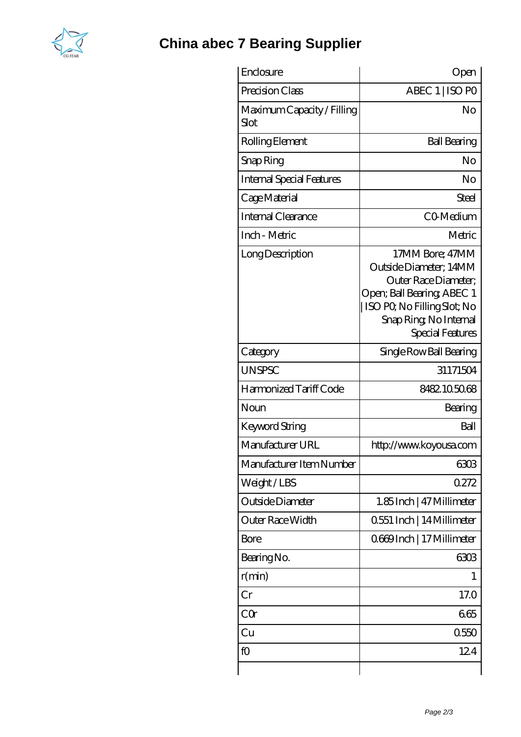

## **[China abec 7 Bearing Supplier](https://vikingman.org)**

| Enclosure                          | Open                                                                                                                                                                        |
|------------------------------------|-----------------------------------------------------------------------------------------------------------------------------------------------------------------------------|
| Precision Class                    | ABEC 1   ISO PO                                                                                                                                                             |
| Maximum Capacity / Filling<br>Slot | No                                                                                                                                                                          |
| Rolling Element                    | <b>Ball Bearing</b>                                                                                                                                                         |
| Snap Ring                          | No                                                                                                                                                                          |
| <b>Internal Special Features</b>   | No                                                                                                                                                                          |
| Cage Material                      | Steel                                                                                                                                                                       |
| Internal Clearance                 | CO-Medium                                                                                                                                                                   |
| Inch - Metric                      | Metric                                                                                                                                                                      |
| Long Description                   | 17MM Bore; 47MM<br>Outside Diameter; 14MM<br>Outer Race Diameter;<br>Open; Ball Bearing; ABEC 1<br>ISO PQ No Filling Slot; No<br>Snap Ring, No Internal<br>Special Features |
| Category                           | Single Row Ball Bearing                                                                                                                                                     |
| <b>UNSPSC</b>                      | 31171504                                                                                                                                                                    |
| Harmonized Tariff Code             | 8482105068                                                                                                                                                                  |
| Noun                               | Bearing                                                                                                                                                                     |
| Keyword String                     | Ball                                                                                                                                                                        |
| Manufacturer URL                   | http://www.koyousa.com                                                                                                                                                      |
| Manufacturer Item Number           | 6303                                                                                                                                                                        |
| Weight/LBS                         | 0272                                                                                                                                                                        |
| Outside Diameter                   | 1.85 Inch   47 Millimeter                                                                                                                                                   |
| <b>Outer Race Width</b>            | 0.551 Inch   14 Millimeter                                                                                                                                                  |
| Bore                               | 0669Inch   17 Millimeter                                                                                                                                                    |
| Bearing No.                        | 6303                                                                                                                                                                        |
| r(min)                             | 1                                                                                                                                                                           |
| Cr                                 | 17.0                                                                                                                                                                        |
| CQr                                | 665                                                                                                                                                                         |
| Cu                                 | 0550                                                                                                                                                                        |
| fO                                 | 124                                                                                                                                                                         |
|                                    |                                                                                                                                                                             |